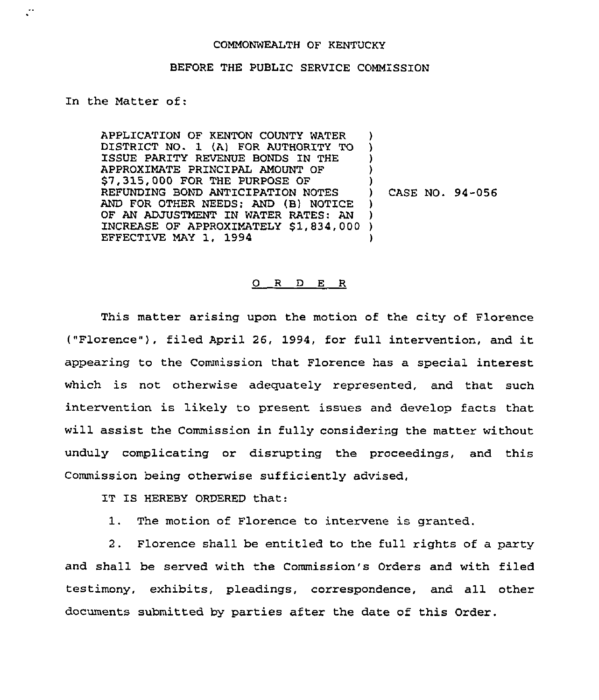## COMMONWEALTH OF KENTUCKY

## BEFORE THE PUBLIC SERVICE COMMiSSION

in the Matter of:

 $\ddot{\phantom{a}}$ 

APPLICATION OF KENTON COUNTY WATER DISTRICT NO. 1 (A) FOR AUTHORITY TO ISSUE PARITY REVENUE BONDS IN THE APPROXIMATE PRINCIPAL AMOUNT OF \$7,315,000 FOR THE PURPOSE OF REFUNDING BOND ANTICIPATION NOTES AND FOR OTHER NEEDS; AND (B) NOTICE OF AN ADJUSTMENT IN WATER RATES: AN OF AN ADJOSIMENT IN WATER RATES: AN ADJOSIMENT IN WATER RATES: AN EFFECTIVE MAY 1, 1994 ) ) ) ) ) CASE NO. 94-056 ) ) )

## $O$  R  $D$  E R

This matter arising upon the motion of the city of Florence ("Florence" ), filed April 26, 1994, for full intervention, and it appearing to the Commission that Florence has a special interest which is not otherwise adequately represented, and that such intervention is likely to present issues and develop facts that will assist the Commission in fully considering the matter without unduly complicating or disrupting the proceedings, and this Commission being otherwise sufficiently advised,

IT IS HEREBY ORDERED that:

1. The motion of Florence to intervene is granted.

2. Florence shall be entitled to the full rights of a party and shall be served with the Commission's Orders and with filed testimony, exhibits, pleadings, correspondence, and all other documents submitted by parties after the date of this Order.